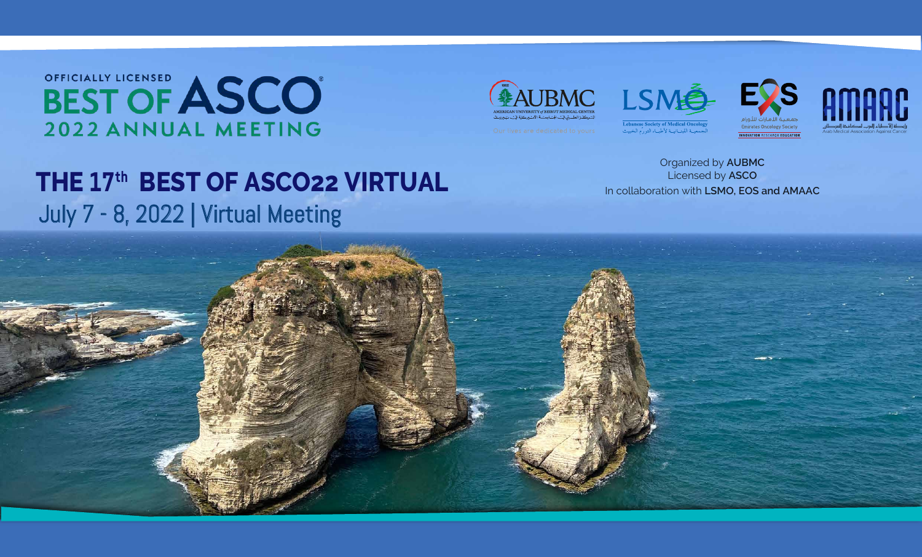Organized by **AUBMC** Licensed by **ASCO**



## OFFICIALLY LICENSED<br>BEST OF ASCO 2022 ANNUAL MEETING

## **THE 17<sup>th</sup> BEST OF ASCO22 VIRTUAL** and the collaboration with LSMO, EOS and AMAAC July 7 - 8, 2022 | Virtual Meeting







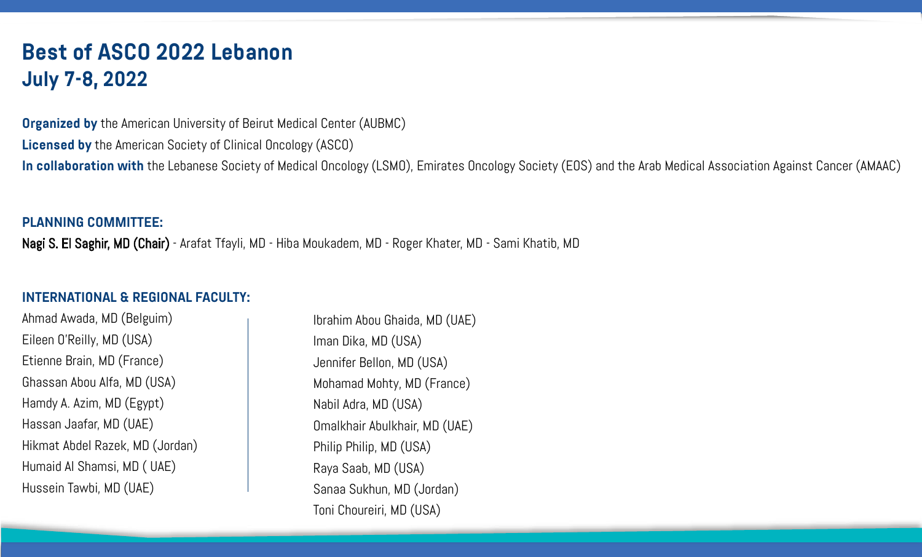### **Best of ASCO 2022 Lebanon July 7-8, 2022**

**Organized by** the American University of Beirut Medical Center (AUBMC) **Licensed by** the American Society of Clinical Oncology (ASCO) **In collaboration with** the Lebanese Society of Medical Oncology (LSMO), Emirates Oncology Society (EOS) and the Arab Medical Association Against Cancer (AMAAC)

### **PLANNING COMMITTEE:**

Nagi S. El Saghir, MD (Chair) - Arafat Tfayli, MD - Hiba Moukadem, MD - Roger Khater, MD - Sami Khatib, MD

### **INTERNATIONAL & REGIONAL FACULTY:**

Ahmad Awada, MD (Belguim) Eileen O'Reilly, MD (USA) Etienne Brain, MD (France) Ghassan Abou Alfa, MD (USA) Hamdy A. Azim, MD (Egypt) Hassan Jaafar, MD (UAE) Hikmat Abdel Razek, MD (Jordan) Humaid Al Shamsi, MD ( UAE) Hussein Tawbi, MD (UAE)

Ibrahim Abou Ghaida, MD (UAE) Iman Dika, MD (USA) Jennifer Bellon, MD (USA) Mohamad Mohty, MD (France) Nabil Adra, MD (USA) Omalkhair Abulkhair, MD (UAE) Philip Philip, MD (USA) Raya Saab, MD (USA) Sanaa Sukhun, MD (Jordan) Toni Choureiri, MD (USA)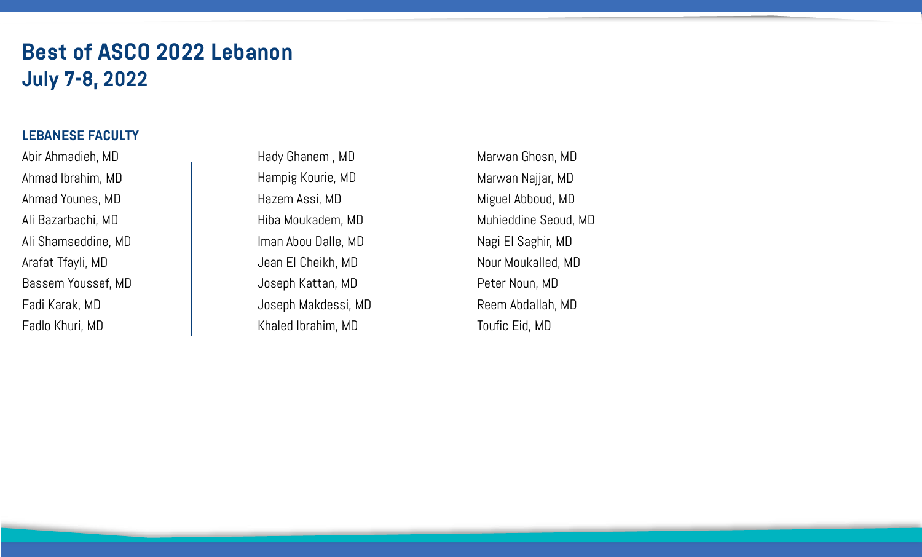### **Best of ASCO 2022 Lebanon July 7-8, 2022**

### **LEBANESE FACULTY**

Abir Ahmadieh, MD Ahmad Ibrahim, MD Ahmad Younes, MD Ali Bazarbachi, MD Ali Shamseddine, MD Arafat Tfayli, MD Bassem Youssef, MD Fadi Karak, MD Fadlo Khuri, MD

Hady Ghanem , MD Hampig Kourie, MD Hazem Assi, MD Hiba Moukadem, MD Iman Abou Dalle, MD Jean El Cheikh, MD Joseph Kattan, MD Joseph Makdessi, MD Khaled Ibrahim, MD

Marwan Ghosn, MD Marwan Najjar, MD Miguel Abboud, MD Muhieddine Seoud, MD Nagi El Saghir, MD Nour Moukalled, MD Peter Noun, MD Reem Abdallah, MD Toufic Eid, MD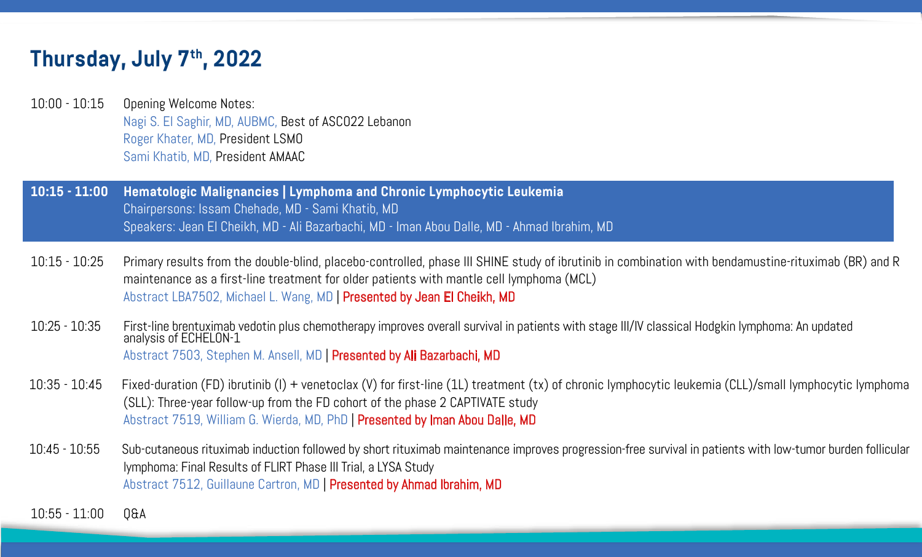10:15 - 10:25 Primary results from the double-blind, placebo-controlled, phase III SHINE study of ibrutinib in combination with bendamustine-rituximab (BR) and R

- 10:00 10:15 Opening Welcome Notes: Nagi S. El Saghir, MD, AUBMC, Best of ASCO22 Lebanon Roger Khater, MD, President LSMO Sami Khatib, MD, President AMAAC
- **10:15 11:00 Hematologic Malignancies | Lymphoma and Chronic Lymphocytic Leukemia** Chairpersons: Issam Chehade, MD - Sami Khatib, MD Speakers: Jean El Cheikh, MD - Ali Bazarbachi, MD - Iman Abou Dalle, MD - Ahmad Ibrahim, MD
- maintenance as a first-line treatment for older patients with mantle cell lymphoma (MCL) Abstract LBA7502, Michael L. Wang, MD | Presented by Jean El Cheikh, MD
- 10:25 10:35 First-line brentuximab vedotin plus chemotherapy improves overall survival in patients with stage III/IV classical Hodgkin lymphoma: An updated analysis of ECHELON-1 Abstract 7503, Stephen M. Ansell, MD | Presented by Ali Bazarbachi, MD
- (SLL): Three-year follow-up from the FD cohort of the phase 2 CAPTIVATE study Abstract 7519, William G. Wierda, MD, PhD | Presented by Iman Abou Dalle, MD
- lymphoma: Final Results of FLIRT Phase III Trial, a LYSA Study Abstract 7512, Guillaune Cartron, MD | Presented by Ahmad Ibrahim, MD

10:35 - 10:45 Fixed-duration (FD) ibrutinib (I) + venetoclax (V) for first-line (1L) treatment (tx) of chronic lymphocytic leukemia (CLL)/small lymphocytic lymphoma

10:45 - 10:55 Sub-cutaneous rituximab induction followed by short rituximab maintenance improves progression-free survival in patients with low-tumor burden follicular

10:55 - 11:00 Q&A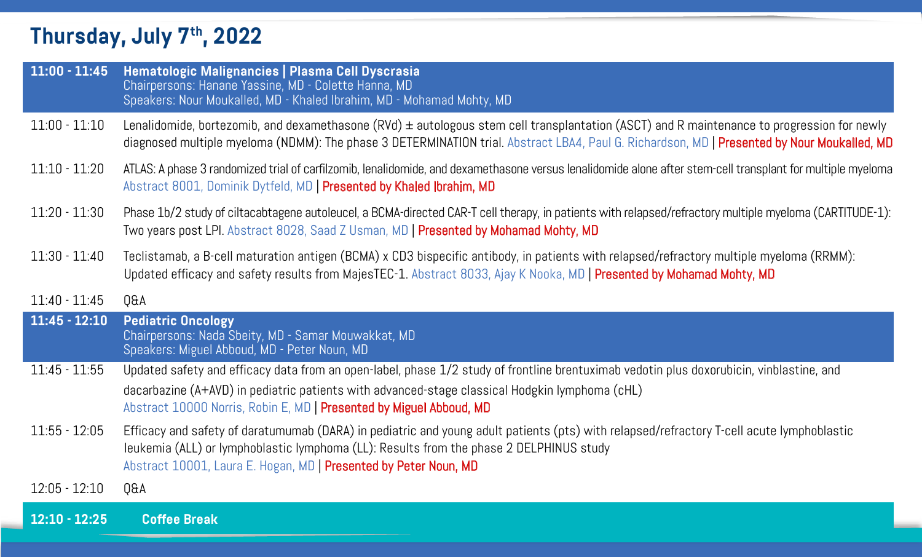| $11:00 - 11:45$ | Hematologic Malignancies   Plasma Cell Dyscrasia<br>Chairpersons: Hanane Yassine, MD - Colette Hanna, MD<br>Speakers: Nour Moukalled, MD - Khaled Ibrahim, MD - Mohamad Mohty, MD                                           |
|-----------------|-----------------------------------------------------------------------------------------------------------------------------------------------------------------------------------------------------------------------------|
| $11:00 - 11:10$ | Lenalidomide, bortezomib, and dexamethasone $(RVd)$ $\pm$ autologous stem of<br>diagnosed multiple myeloma (NDMM): The phase 3 DETERMINATION trial. A                                                                       |
| $11:10 - 11:20$ | ATLAS: A phase 3 randomized trial of carfilzomib, lenalidomide, and dexamethas<br>Abstract 8001, Dominik Dytfeld, MD   Presented by Khaled Ibrahim, MD                                                                      |
| $11:20 - 11:30$ | Phase 1b/2 study of ciltacabtagene autoleucel, a BCMA-directed CAR-T cell th<br>Two years post LPI. Abstract 8028, Saad Z Usman, MD   Presented by Moh                                                                      |
| $11:30 - 11:40$ | Teclistamab, a B-cell maturation antigen (BCMA) x CD3 bispecific antibod<br>Updated efficacy and safety results from MajesTEC-1. Abstract 8033, Ajay                                                                        |
| $11:40 - 11:45$ | Q&A                                                                                                                                                                                                                         |
| $11:45 - 12:10$ | <b>Pediatric Oncology</b><br>Chairpersons: Nada Sbeity, MD - Samar Mouwakkat, MD<br>Speakers: Miguel Abboud, MD - Peter Noun, MD                                                                                            |
| $11:45 - 11:55$ | Updated safety and efficacy data from an open-label, phase 1/2 study of f<br>dacarbazine (A+AVD) in pediatric patients with advanced-stage classical<br>Abstract 10000 Norris, Robin E, MD   Presented by Miguel Abboud, MD |
| $11:55 - 12:05$ | Efficacy and safety of daratumumab (DARA) in pediatric and young adult p<br>leukemia (ALL) or lymphoblastic lymphoma (LL): Results from the phase 2<br>Abstract 10001, Laura E. Hogan, MD   Presented by Peter Noun, MD     |
| $12:05 - 12:10$ | Q&A                                                                                                                                                                                                                         |
| $12:10 - 12:25$ | <b>Coffee Break</b>                                                                                                                                                                                                         |

us stem cell transplantation (ASCT) and R maintenance to progression for newly ON trial. Abstract LBA4, Paul G. Richardson, MD | Presented by Nour Moukalled, MD

xamethasone versus lenalidomide alone after stem-cell transplant for multiple myeloma

R-T cell therapy, in patients with relapsed/refractory multiple myeloma (CARTITUDE-1): Ed by Mohamad Mohty, MD

c antibody, in patients with relapsed/refractory multiple myeloma (RRMM): 8033, Ajay K Nooka, MD | Presented by Mohamad Mohty, MD

study of frontline brentuximab vedotin plus doxorubicin, vinblastine, and classical Hodgkin lymphoma (cHL)

13:55 - 12:05 - 12:05 odult patients (pts) with relapsed/refractory T-cell acute lymphoblastic le phase 2 DELPHINUS study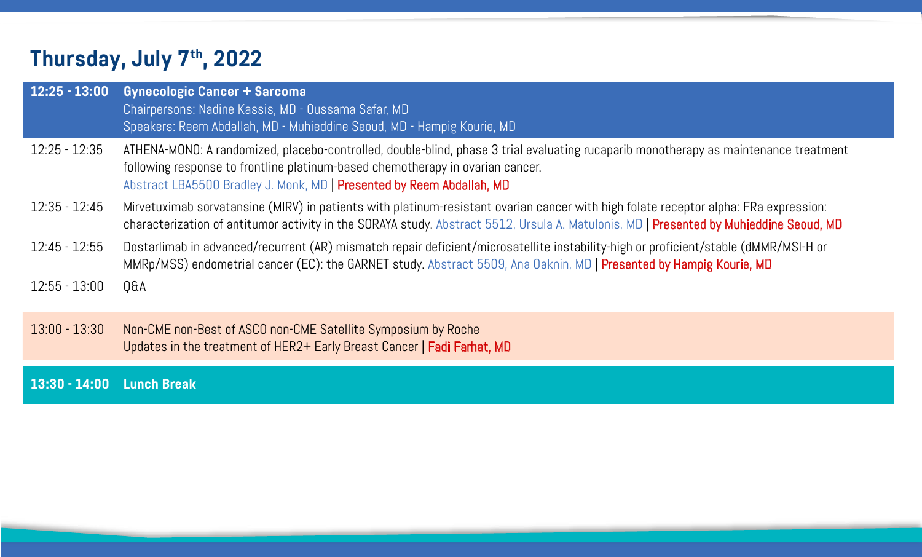| $12:25 - 13:00$           | <b>Gynecologic Cancer + Sarcoma</b><br>Chairpersons: Nadine Kassis, MD - Oussama Safar, MD<br>Speakers: Reem Abdallah, MD - Muhieddine Seoud, MD - Hampig Kourie, M                                                          |
|---------------------------|------------------------------------------------------------------------------------------------------------------------------------------------------------------------------------------------------------------------------|
| $12:25 - 12:35$           | ATHENA-MONO: A randomized, placebo-controlled, double-blind, phase 3 tr<br>following response to frontline platinum-based chemotherapy in ovarian c<br>Abstract LBA5500 Bradley J. Monk, MD   Presented by Reem Abdallah, MD |
| $12:35 - 12:45$           | Mirvetuximab sorvatansine (MIRV) in patients with platinum-resistant ova<br>characterization of antitumor activity in the SORAYA study. Abstract 5512                                                                        |
| $12:45 - 12:55$           | Dostarlimab in advanced/recurrent (AR) mismatch repair deficient/micros<br>MMRp/MSS) endometrial cancer (EC): the GARNET study. Abstract 5509,                                                                               |
| $12:55 - 13:00$           | Q&A                                                                                                                                                                                                                          |
| $13:00 - 13:30$           | Non-CME non-Best of ASCO non-CME Satellite Symposium by Roche<br>Updates in the treatment of HER2+ Early Breast Cancer   Fadi Farhat, MD                                                                                     |
| 13:30 - 14:00 Lunch Break |                                                                                                                                                                                                                              |

### $\zeta$ ourie, MD

ohase 3 trial evaluating rucaparib monotherapy as maintenance treatment ovarian cancer.

istant ovarian cancer with high folate receptor alpha: FRa expression: ract 5512, Ursula A. Matulonis, MD | Presented by Muhieddine Seoud, MD

nt/microsatellite instability-high or proficient/stable (dMMR/MSI-H or Mat 5509, Ana Oaknin, MD | Presented by Hampig Kourie, MD

arhat, MD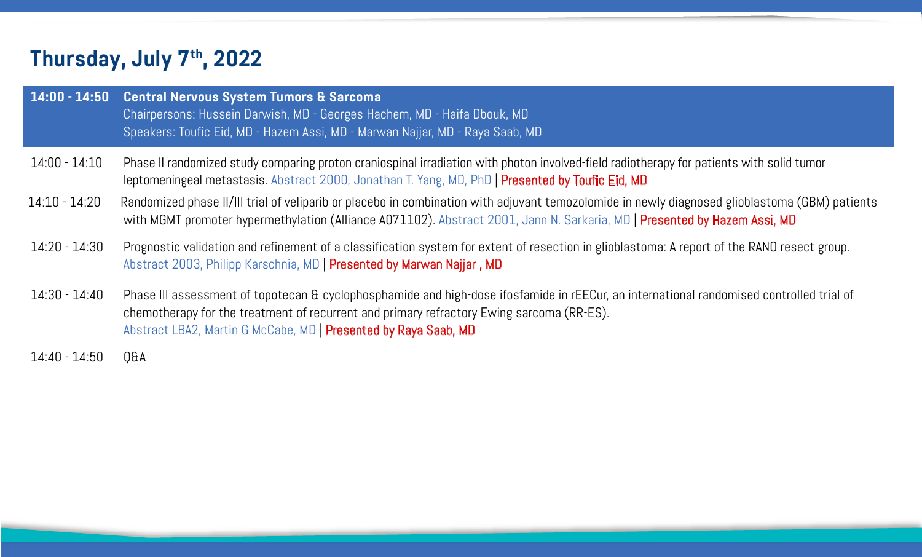| $14:00 - 14:50$ | <b>Central Nervous System Tumors &amp; Sarcoma</b><br>Chairpersons: Hussein Darwish, MD - Georges Hachem, MD - Haifa Dboul<br>Speakers: Toufic Eid, MD - Hazem Assi, MD - Marwan Najjar, MD - Raya Sa              |
|-----------------|--------------------------------------------------------------------------------------------------------------------------------------------------------------------------------------------------------------------|
| $14:00 - 14:10$ | Phase II randomized study comparing proton craniospinal irradiation with<br>leptomeningeal metastasis. Abstract 2000, Jonathan T. Yang, MD, PhD                                                                    |
| $14:10 - 14:20$ | Randomized phase II/III trial of veliparib or placebo in combination with a<br>with MGMT promoter hypermethylation (Alliance A071102). Abstract 20                                                                 |
| $14:20 - 14:30$ | Prognostic validation and refinement of a classification system for exte<br>Abstract 2003, Philipp Karschnia, MD   Presented by Marwan Najjar, MD                                                                  |
| $14:30 - 14:40$ | Phase III assessment of topotecan & cyclophosphamide and high-dose i<br>chemotherapy for the treatment of recurrent and primary refractory Ewir<br>Abstract LBA2, Martin G McCabe, MD   Presented by Raya Saab, MD |
| $14:40 - 14:50$ | Q&A                                                                                                                                                                                                                |
|                 |                                                                                                                                                                                                                    |

 $\epsilon$ a Dbouk, MD -**Raya Saab, MD** 

on with photon involved-field radiotherapy for patients with solid tumor I, PhD | Presented by Toufic Eid, MD

n with adjuvant temozolomide in newly diagnosed glioblastoma (GBM) patients ract 2001, Jann N. Sarkaria, MD | Presented by Hazem Assi, MD

for extent of resection in glioblastoma: A report of the RANO resect group.

h-dose ifosfamide in rEECur, an international randomised controlled trial of cory Ewing sarcoma (RR-ES).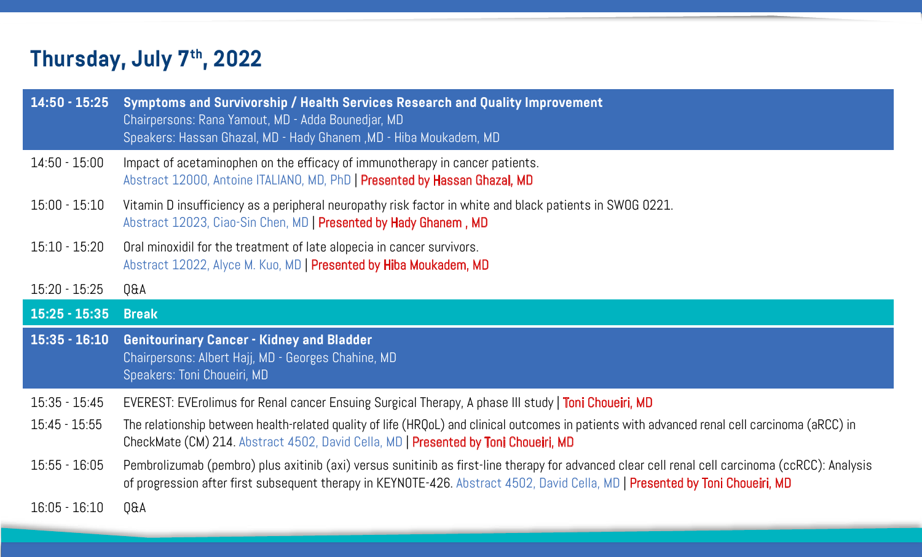| $14:50 - 15:25$ | <b>Symptoms and Survivorship / Health Services Research and Qua</b><br>Chairpersons: Rana Yamout, MD - Adda Bounedjar, MD<br>Speakers: Hassan Ghazal, MD - Hady Ghanem, MD - Hiba Moukadem, MD |
|-----------------|------------------------------------------------------------------------------------------------------------------------------------------------------------------------------------------------|
| $14:50 - 15:00$ | Impact of acetaminophen on the efficacy of immunotherapy in cancer particle.<br>Abstract 12000, Antoine ITALIANO, MD, PhD   Presented by Hassan Ghaz                                           |
| $15:00 - 15:10$ | Vitamin D insufficiency as a peripheral neuropathy risk factor in white a<br>Abstract 12023, Ciao-Sin Chen, MD   Presented by Hady Ghanem, MD                                                  |
| $15:10 - 15:20$ | Oral minoxidil for the treatment of late alopecia in cancer survivors.<br>Abstract 12022, Alyce M. Kuo, MD   Presented by Hiba Moukadem, MD                                                    |
| $15:20 - 15:25$ | <b>Q&amp;A</b>                                                                                                                                                                                 |
|                 |                                                                                                                                                                                                |
| $15:25 - 15:35$ | <b>Break</b>                                                                                                                                                                                   |
| $15:35 - 16:10$ | <b>Genitourinary Cancer - Kidney and Bladder</b><br>Chairpersons: Albert Hajj, MD - Georges Chahine, MD<br>Speakers: Toni Choueiri, MD                                                         |
| $15:35 - 15:45$ | EVEREST: EVErolimus for Renal cancer Ensuing Surgical Therapy, A phas                                                                                                                          |
| $15:45 - 15:55$ | The relationship between health-related quality of life (HRQoL) and clinica<br>CheckMate (CM) 214 Abstract 4502, David Cella, MD   Presented by Tor                                            |
| $15:55 - 16:05$ | Pembrolizumab (pembro) plus axitinib (axi) versus sunitinib as first-line<br>of progression after first subsequent therapy in KEYNOTE-426. Abstract                                            |

### **nd Quality Improvement**

ancer patients. an Ghazal, MD

white and black patients in SWOG 0221.

A phase III study | Toni Choueiri, MD

1 clinical outcomes in patients with advanced renal cell carcinoma (aRCC) in d by Toni Choueiri, MD

irst-line therapy for advanced clear cell renal cell carcinoma (ccRCC): Analysis bstract 4502, David Cella, MD | Presented by Toni Choueiri, MD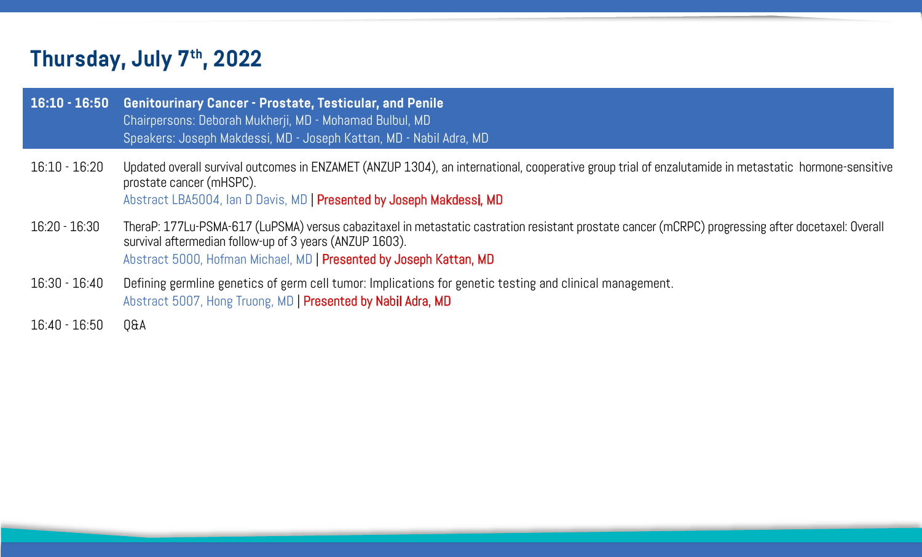| $16:10 - 16:50$ | <b>Genitourinary Cancer - Prostate, Testicular, and Penile</b><br>Chairpersons: Deborah Mukherji, MD - Mohamad Bulbul, MD<br>Speakers: Joseph Makdessi, MD - Joseph Kattan, MD - Nabil Adra, MD          |
|-----------------|----------------------------------------------------------------------------------------------------------------------------------------------------------------------------------------------------------|
| $16:10 - 16:20$ | Updated overall survival outcomes in ENZAMET (ANZUP 1304), an internation<br>prostate cancer (mHSPC).<br>Abstract LBA5004, Ian D Davis, MD   Presented by Joseph Makdessi, MD                            |
| $16:20 - 16:30$ | TheraP: 177Lu-PSMA-617 (LuPSMA) versus cabazitaxel in metastatic castra<br>survival aftermedian follow-up of 3 years (ANZUP 1603).<br>Abstract 5000, Hofman Michael, MD   Presented by Joseph Kattan, MD |
| $16:30 - 16:40$ | Defining germline genetics of germ cell tumor: Implications for genetic t<br>Abstract 5007, Hong Truong, MD   Presented by Nabil Adra, MD                                                                |
| $16:40 - 16:50$ | <b>Q&amp;A</b>                                                                                                                                                                                           |

nternational, cooperative group trial of enzalutamide in metastatic hormone-sensitive

ic castration resistant prostate cancer (mCRPC) progressing after docetaxel: Overall

enetic testing and clinical management.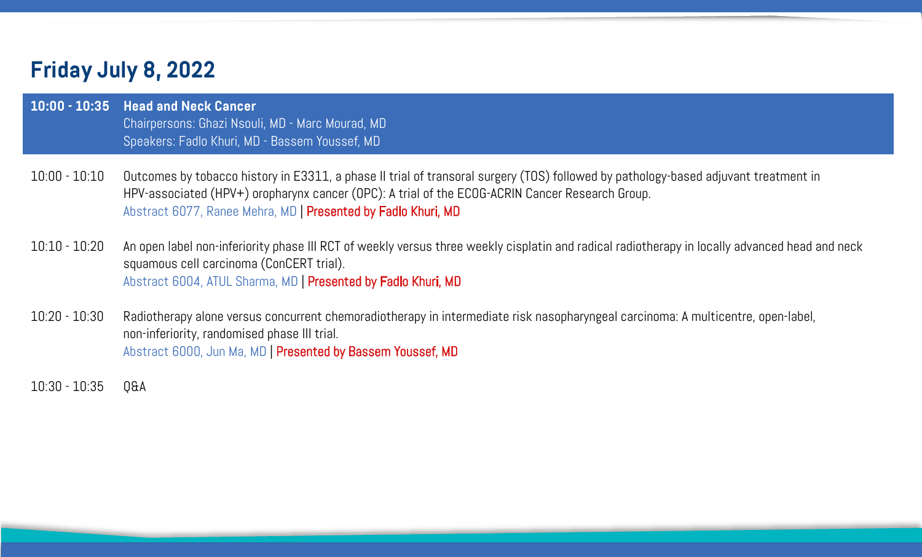| 10:00 - 10:35 Head and Neck Cancer                |
|---------------------------------------------------|
| Chairpersons: Ghazi Nsouli, MD - Marc Mourad, MD, |
| Speakers: Fadlo Khuri, MD - Bassem Youssef, MD    |

- 10:00 10:10 Outcomes by tobacco history in E3311, a phase II trial of transoral surgery (TOS) followed by pathology-based adjuvant treatment in HPV-associated (HPV+) oropharynx cancer (OPC): A trial of the ECOG-ACRIN Cancer Research Group. Abstract 6077, Ranee Mehra, MD | Presented by Fadlo Khuri, MD
- 10:10 10:20 An open label non-inferiority phase III RCT of weekly versus three weekly cisplatin and radical radiotherapy in locally advanced head and neck squamous cell carcinoma (ConCERT trial). Abstract 6004, ATUL Sharma, MD | Presented by Fadlo Khuri, MD
- 10:20 10:30 Radiotherapy alone versus concurrent chemoradiotherapy in intermediate risk nasopharyngeal carcinoma: A multicentre, open-label, non-inferiority, randomised phase III trial. Abstract 6000, Jun Ma, MD | Presented by Bassem Youssef, MD

10:30 - 10:35 Q&A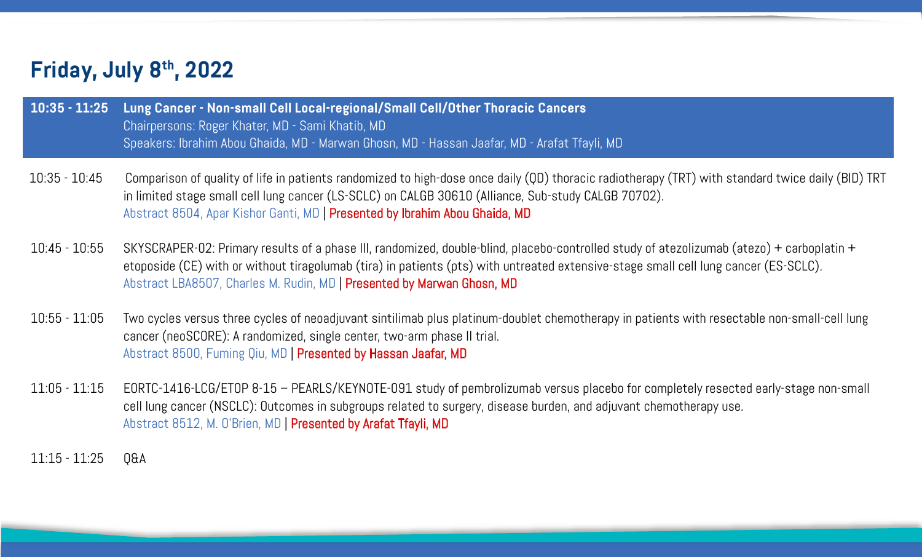| 10:35 - 11:25 Lung Cancer - Non-small Cell Local-regional/Small Cell/Otl |
|--------------------------------------------------------------------------|
| Chairpersons: Roger Khater, MD - Sami Khatib, MD                         |
| <u>  Speakers: Tbrahim Abou Ghaida, MD - Marwan Ghosn, MD - Hassa</u>    |

etoposide (CE) with or without tiragolumab (tira) in patients (pts) with untreated extensive-stage small cell lung cancer (ES-SCLC).

- 10:35 10:45 Comparison of quality of life in patients randomized to high-dose once daily (QD) thoracic radiotherapy (TRT) with standard twice daily (BID) TRT in limited stage small cell lung cancer (LS-SCLC) on CALGB 30610 (Alliance, Sub-study CALGB 70702). Abstract 8504, Apar Kishor Ganti, MD | Presented by Ibrahim Abou Ghaida, MD
- 10:45 10:55 SKYSCRAPER-02: Primary results of a phase III, randomized, double-blind, placebo-controlled study of atezolizumab (atezo) + carboplatin + Abstract LBA8507, Charles M. Rudin, MD | Presented by Marwan Ghosn, MD
- 10:55 11:05 Two cycles versus three cycles of neoadjuvant sintilimab plus platinum-doublet chemotherapy in patients with resectable non-small-cell lung cancer (neoSCORE): A randomized, single center, two-arm phase II trial. Abstract 8500, Fuming Qiu, MD | Presented by Hassan Jaafar, MD
- 11:05 11:15 EORTC-1416-LCG/ETOP 8-15 PEARLS/KEYNOTE-091 study of pembrolizumab versus placebo for completely resected early-stage non-small cell lung cancer (NSCLC): Outcomes in subgroups related to surgery, disease burden, and adjuvant chemotherapy use. Abstract 8512, M. O'Brien, MD | Presented by Arafat Tfayli, MD
- 11:15 11:25 Q&A

### **10:35 - 10:35 Ner Thoracic Cancers**

n Jaafar, MD - Arafat Tfayli, MD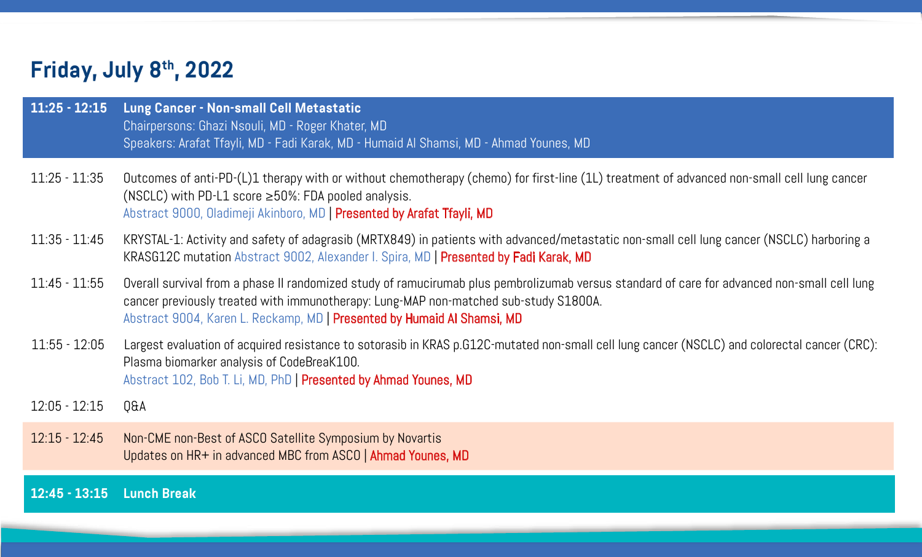| $11:25 - 12:15$           | Lung Cancer - Non-small Cell Metastatic<br>Chairpersons: Ghazi Nsouli, MD - Roger Khater, MD<br>Speakers: Arafat Tfayli, MD - Fadi Karak, MD - Humaid Al Shamsi, MD - .                                          |
|---------------------------|------------------------------------------------------------------------------------------------------------------------------------------------------------------------------------------------------------------|
| $11:25 - 11:35$           | Outcomes of anti-PD-(L)1 therapy with or without chemotherapy (chere<br>(NSCLC) with PD-L1 score $\geq$ 50%: FDA pooled analysis.<br>Abstract 9000, Oladimeji Akinboro, MD   Presented by Arafat Tfayli, MD      |
| $11:35 - 11:45$           | KRYSTAL-1: Activity and safety of adagrasib (MRTX849) in patients with<br>KRASG12C mutation Abstract 9002, Alexander I. Spira, MD   Presented                                                                    |
| $11:45 - 11:55$           | Overall survival from a phase II randomized study of ramucirumab plus<br>cancer previously treated with immunotherapy: Lung-MAP non-matche<br>Abstract 9004, Karen L. Reckamp, MD   Presented by Humaid Al Shams |
| $11:55 - 12:05$           | Largest evaluation of acquired resistance to sotorasib in KRAS p.G12C-<br>Plasma biomarker analysis of CodeBreaK100.<br>Abstract 102, Bob T. Li, MD, PhD   Presented by Ahmad Younes, MD                         |
| $12:05 - 12:15$           | <b>Q&amp;A</b>                                                                                                                                                                                                   |
| $12:15 - 12:45$           | Non-CME non-Best of ASCO Satellite Symposium by Novartis<br>Updates on HR+ in advanced MBC from ASCO   Ahmad Younes, MD                                                                                          |
| 12:45 - 13:15 Lunch Break |                                                                                                                                                                                                                  |

### **MD - Ahmad Younes, MD**

(chemo) for first-line (1L) treatment of advanced non-small cell lung cancer

nts with advanced/metastatic non-small cell lung cancer (NSCLC) harboring a  $s$ ented by Fadi Karak, MD |

1 plus pembrolizumab versus standard of care for advanced non-small cell lung atched sub-study S1800A.

### Shamsi, MD

 $1.612$ C-mutated non-small cell lung cancer (NSCLC) and colorectal cancer (CRC):

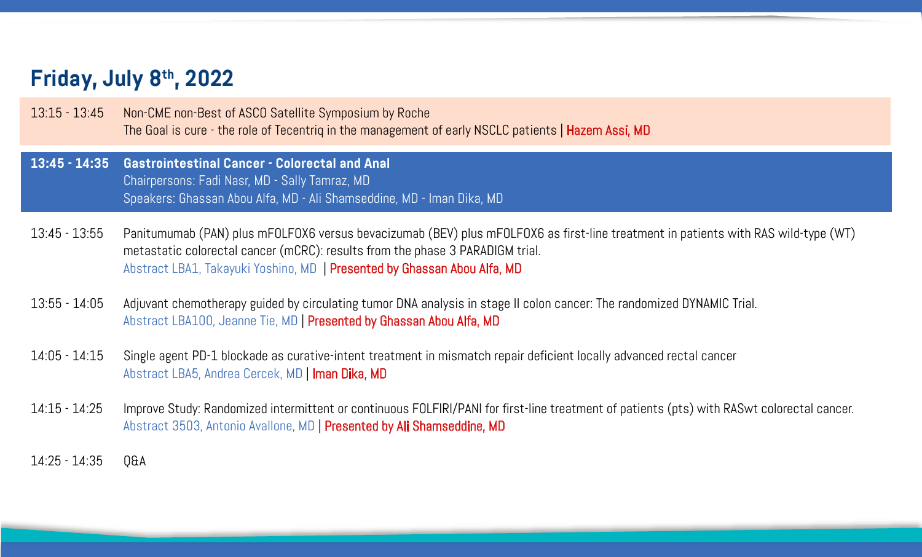| $13:15 - 13:45$ | Non-CME non-Best of ASCO Satellite Symposium by Roche<br>The Goal is cure - the role of Tecentriq in the management of early NSCLO                                                                                  |
|-----------------|---------------------------------------------------------------------------------------------------------------------------------------------------------------------------------------------------------------------|
| $13:45 - 14:35$ | <b>Gastrointestinal Cancer - Colorectal and Anal</b><br>Chairpersons: Fadi Nasr, MD - Sally Tamraz, MD<br>Speakers: Ghassan Abou Alfa, MD - Ali Shamseddine, MD - Iman Dika, MD                                     |
| $13:45 - 13:55$ | Panitumumab (PAN) plus mFOLFOX6 versus bevacizumab (BEV) plus mFI<br>metastatic colorectal cancer (mCRC): results from the phase 3 PARADIG<br>Abstract LBA1, Takayuki Yoshino, MD   Presented by Ghassan Abou Alfa, |
| $13:55 - 14:05$ | Adjuvant chemotherapy guided by circulating tumor DNA analysis in stag<br>Abstract LBA100, Jeanne Tie, MD   Presented by Ghassan Abou Alfa, MD                                                                      |
| $14:05 - 14:15$ | Single agent PD-1 blockade as curative-intent treatment in mismatch re<br>Abstract LBA5, Andrea Cercek, MD   Iman Dika, MD                                                                                          |
| $14:15 - 14:25$ | Improve Study: Randomized intermittent or continuous FOLFIRI/PANI for 1<br>Abstract 3503, Antonio Avallone, MD   Presented by Ali Shamseddine, MD                                                                   |
| $14:25 - 14:35$ | Q&A                                                                                                                                                                                                                 |

Iy NSCLC patients | Hazem Assi, MD

plus mFOLFOX6 as first-line treatment in patients with RAS wild-type (WT) PARADIGM trial. Alfa, MD | Pou

In stage II colon cancer: The randomized DYNAMIC Trial.

match repair deficient locally advanced rectal cancer

PANI for first-line treatment of patients (pts) with RASwt colorectal cancer.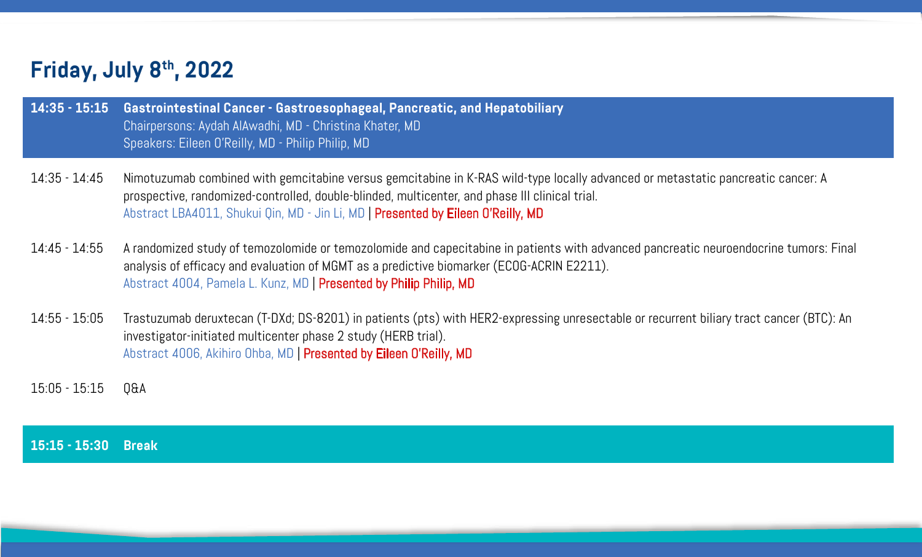| $14:35 - 15:15$ | Gastrointestinal Cancer - Gastroesophageal, Pancreatic, an<br>Chairpersons: Aydah AlAwadhi, MD - Christina Khater, MD<br>Speakers: Eileen O'Reilly, MD - Philip Philip, MD                                   |
|-----------------|--------------------------------------------------------------------------------------------------------------------------------------------------------------------------------------------------------------|
| $14:35 - 14:45$ | Nimotuzumab combined with gemcitabine versus gemcitabine in K<br>prospective, randomized-controlled, double-blinded, multicenter, and<br>Abstract LBA4011, Shukui Qin, MD - Jin Li, MD   Presented by Eileer |
| $14:45 - 14:55$ | A randomized study of temozolomide or temozolomide and capecita<br>analysis of efficacy and evaluation of MGMT as a predictive biomar<br>Abstract 4004, Pamela L. Kunz, MD   Presented by Philip Philip, MD  |
| $14:55 - 15:05$ | Trastuzumab deruxtecan (T-DXd; DS-8201) in patients (pts) with F<br>investigator-initiated multicenter phase 2 study (HERB trial).<br>Abstract 4006, Akihiro Ohba, MD   Presented by Eileen O'Reilly, MD     |

15:05 - 15:15 Q&A

**15:15 - 15:30 Break** 

### **14:35 And Hepatobiliary**

K-RAS wild-type locally advanced or metastatic pancreatic cancer: A and phase III clinical trial.

### een O'Reilly, MD

citabine in patients with advanced pancreatic neuroendocrine tumors: Final arker (ECOG-ACRIN E2211).

h HER2-expressing unresectable or recurrent biliary tract cancer (BTC): An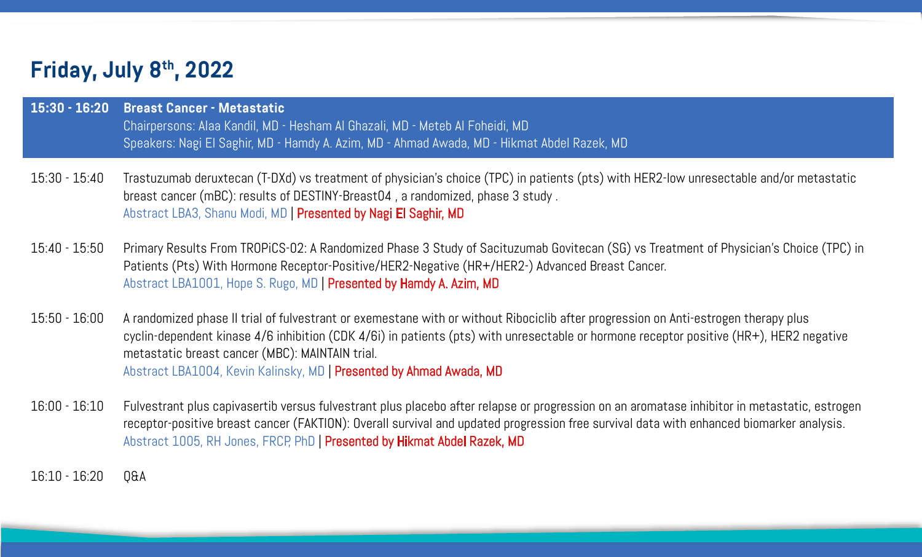| $15:30 - 16:20$ | <b>Breast Cancer - Metastatic</b><br>Chairpersons: Alaa Kandil, MD - Hesham Al Ghazali, MD - Meteb Al Foheid<br>Speakers: Nagi El Saghir, MD - Hamdy A. Azim, MD - Ahmad Awada, MD - I                                                                                         |
|-----------------|--------------------------------------------------------------------------------------------------------------------------------------------------------------------------------------------------------------------------------------------------------------------------------|
| $15:30 - 15:40$ | Trastuzumab deruxtecan (T-DXd) vs treatment of physician's choice (TP<br>breast cancer (mBC): results of DESTINY-Breast04, a randomized, phas<br>Abstract LBA3, Shanu Modi, MD   Presented by Nagi El Saghir, MD                                                               |
| $15:40 - 15:50$ | Primary Results From TROPICS-02: A Randomized Phase 3 Study of Saci<br>Patients (Pts) With Hormone Receptor-Positive/HER2-Negative (HR+/H<br>Abstract LBA1001, Hope S. Rugo, MD   Presented by Hamdy A. Azim, MD                                                               |
| $15:50 - 16:00$ | A randomized phase II trial of fulvestrant or exemestane with or without<br>cyclin-dependent kinase 4/6 inhibition (CDK 4/6i) in patients (pts) with<br>metastatic breast cancer (MBC): MAINTAIN trial.<br>Abstract LBA1004, Kevin Kalinsky, MD   Presented by Ahmad Awada, MD |
| $16:00 - 16:10$ | Fulvestrant plus capivasertib versus fulvestrant plus placebo after relap<br>receptor-positive breast cancer (FAKTION): Overall survival and updated<br>Abstract 1005, RH Jones, FRCP, PhD   Presented by Hikmat Abdel Razek                                                   |
| $16:10 - 16:20$ | 0&A                                                                                                                                                                                                                                                                            |

**Foheidi, MD MD - Hikmat Abdel Razek, MD** 

 $\rm{size}$  (TPC) in patients (pts) with HER2-low unresectable and/or metastatic ed, phase 3 study .

r of Sacituzumab Govitecan (SG) vs Treatment of Physician's Choice (TPC) in (HR+/HER2-) Advanced Breast Cancer.

without Ribociclib after progression on Anti-estrogen therapy plus ts) with unresectable or hormone receptor positive (HR+), HER2 negative

ter relapse or progression on an aromatase inhibitor in metastatic, estrogen ipdated progression free survival data with enhanced biomarker analysis. **Razek, MD**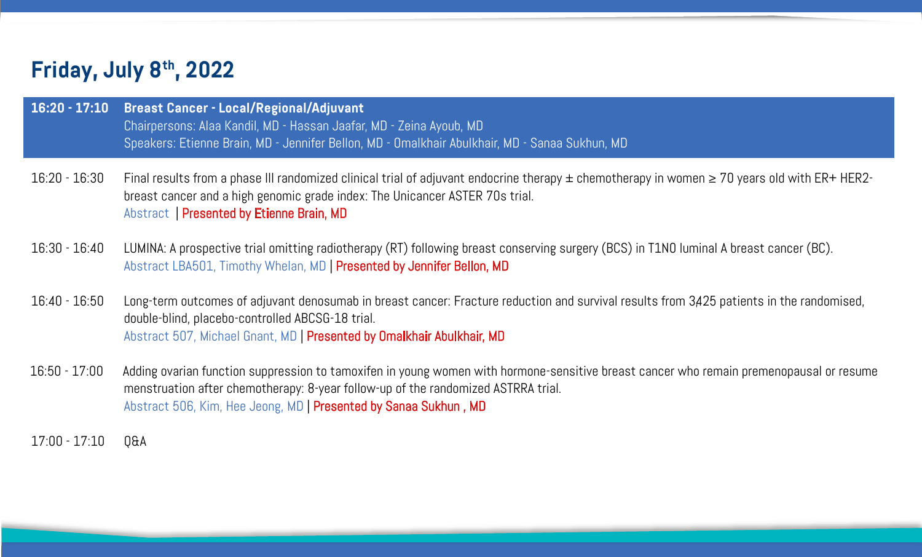| 16:20 - 17:10 Breast Cancer - Local/Regional/Adjuvant                |
|----------------------------------------------------------------------|
| Chairpersons: Alaa Kandil, MD - Hassan Jaafar, MD - Zeina Ayoub, MD  |
| Speakers: Etienne Brain, MD - Jennifer Bellon, MD - Omalkhair Abulkh |

- 16:20 16:30 Final results from a phase III randomized clinical trial of adjuvant endocrine therapy ± chemotherapy in women ≥ 70 years old with ER+ HER2 breast cancer and a high genomic grade index: The Unicancer ASTER 70s trial. Abstract | Presented by Etienne Brain, MD
- 16:30 16:40 LUMINA: A prospective trial omitting radiotherapy (RT) following breast conserving surgery (BCS) in T1N0 luminal A breast cancer (BC). Abstract LBA501, Timothy Whelan, MD | Presented by Jennifer Bellon, MD
- 16:40 16:50 Long-term outcomes of adjuvant denosumab in breast cancer: Fracture reduction and survival results from 3,425 patients in the randomised, double-blind, placebo-controlled ABCSG-18 trial. Abstract 507, Michael Gnant, MD | Presented by Omalkhair Abulkhair, MD
- 16:50 17:00 Adding ovarian function suppression to tamoxifen in young women with hormone-sensitive breast cancer who remain premenopausal or resume menstruation after chemotherapy: 8-year follow-up of the randomized ASTRRA trial. Abstract 506, Kim, Hee Jeong, MD | Presented by Sanaa Sukhun , MD

17:00 - 17:10 Q&A

## ulkhair, MD - Sanaa Sukhun, MD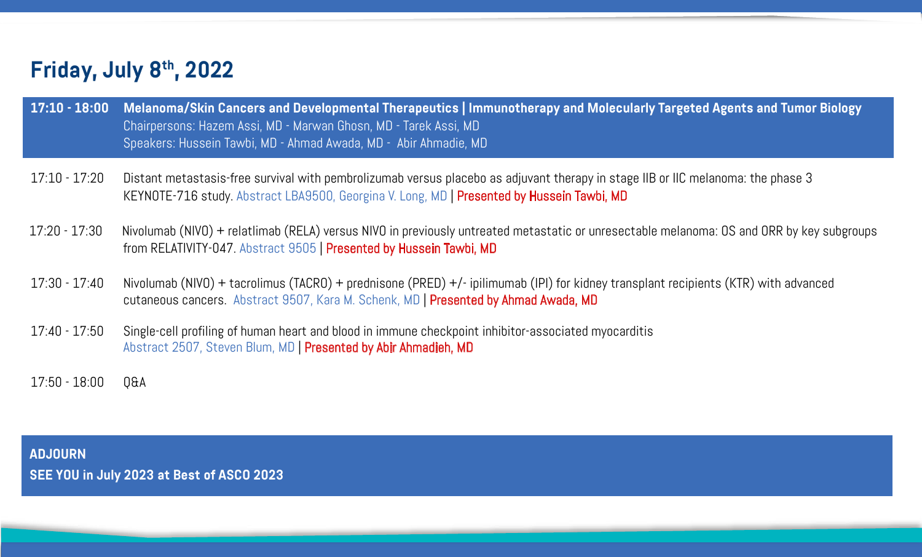**ADJOURN SEE YOU in July 2023 at Best of ASCO 2023** 

# **Immunotherapy and Molecularly Targeted Agents and Tumor Biology**

cebo as adjuvant therapy in stage IIB or IIC melanoma: the phase 3 **Presented by Hussein Tawbi, MD** 

intreated metastatic or unresectable melanoma: OS and ORR by key subgroups

- ipilimumab (IPI) for kidney transplant recipients (KTR) with advanced nted by Ahmad Awada, MD

oint inhibitor-associated myocarditis

## **Friday, July 8th, 2022**

| $17:10 - 18:00$ | <b>Melanoma/Skin Cancers and Developmental Therapeutics   Immu</b><br>Chairpersons: Hazem Assi, MD - Marwan Ghosn, MD - Tarek Assi, MD<br>Speakers: Hussein Tawbi, MD - Ahmad Awada, MD - Abir Ahmadie, MD |
|-----------------|------------------------------------------------------------------------------------------------------------------------------------------------------------------------------------------------------------|
| $17:10 - 17:20$ | Distant metastasis-free survival with pembrolizumab versus placebo a<br>KEYNOTE-716 study Abstract LBA9500, Georgina V. Long, MD   Present                                                                 |
| $17:20 - 17:30$ | Nivolumab (NIVO) + relatlimab (RELA) versus NIVO in previously untreat<br>from RELATIVITY-047 Abstract 9505   Presented by Hussein Tawbi, MD                                                               |
| $17:30 - 17:40$ | Nivolumab (NIVO) + tacrolimus (TACRO) + prednisone (PRED) +/- ipilim<br>cutaneous cancers. Abstract 9507, Kara M. Schenk, MD   Presented by                                                                |
| $17:40 - 17:50$ | Single-cell profiling of human heart and blood in immune checkpoint inh<br>Abstract 2507, Steven Blum, MD   Presented by Abir Ahmadieh, MD                                                                 |
| $17:50 - 18:00$ | Q&A                                                                                                                                                                                                        |